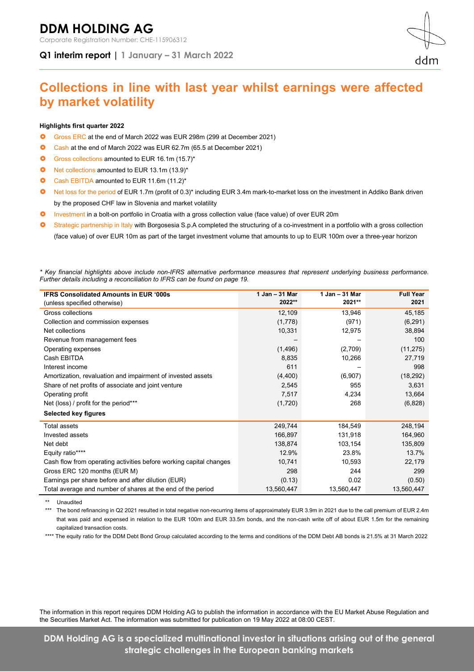# **DDM HOLDING AG**

Corporate Registration Number: CHE-115906312

**Q1 interim report | 1 January – 31 March 2022**

# **Collections in line with last year whilst earnings were affected by market volatility**

#### **Highlights first quarter 2022**

- Gross ERC at the end of March 2022 was EUR 298m (299 at December 2021)
- Cash at the end of March 2022 was EUR 62.7m (65.5 at December 2021)
- Gross collections amounted to EUR 16.1m (15.7)\*
- Net collections amounted to EUR 13.1m (13.9)\*
- Cash EBITDA amounted to EUR 11.6m (11.2)\*
- Net loss for the period of EUR 1.7m (profit of 0.3)\* including EUR 3.4m mark-to-market loss on the investment in Addiko Bank driven by the proposed CHF law in Slovenia and market volatility
- Investment in a bolt-on portfolio in Croatia with a gross collection value (face value) of over EUR 20m
- Strategic partnership in Italy with Borgosesia S.p.A completed the structuring of a co-investment in a portfolio with a gross collection (face value) of over EUR 10m as part of the target investment volume that amounts to up to EUR 100m over a three-year horizon

*\* Key financial highlights above include non-IFRS alternative performance measures that represent underlying business performance. Further details including a reconciliation to IFRS can be found on page 19.*

| <b>IFRS Consolidated Amounts in EUR '000s</b>                      | 1 Jan - 31 Mar | 1 Jan - 31 Mar | <b>Full Year</b> |
|--------------------------------------------------------------------|----------------|----------------|------------------|
| (unless specified otherwise)                                       | 2022**         | 2021**         | 2021             |
| Gross collections                                                  | 12,109         | 13,946         | 45,185           |
| Collection and commission expenses                                 | (1,778)        | (971)          | (6, 291)         |
| Net collections                                                    | 10,331         | 12,975         | 38,894           |
| Revenue from management fees                                       |                |                | 100              |
| Operating expenses                                                 | (1, 496)       | (2,709)        | (11, 275)        |
| Cash EBITDA                                                        | 8,835          | 10,266         | 27,719           |
| Interest income                                                    | 611            |                | 998              |
| Amortization, revaluation and impairment of invested assets        | (4,400)        | (6,907)        | (18, 292)        |
| Share of net profits of associate and joint venture                | 2,545          | 955            | 3,631            |
| Operating profit                                                   | 7,517          | 4,234          | 13,664           |
| Net (loss) / profit for the period***                              | (1,720)        | 268            | (6,828)          |
| Selected key figures                                               |                |                |                  |
| <b>Total assets</b>                                                | 249,744        | 184,549        | 248,194          |
| Invested assets                                                    | 166,897        | 131,918        | 164,960          |
| Net debt                                                           | 138,874        | 103,154        | 135,809          |
| Equity ratio****                                                   | 12.9%          | 23.8%          | 13.7%            |
| Cash flow from operating activities before working capital changes | 10,741         | 10,593         | 22,179           |
| Gross ERC 120 months (EUR M)                                       | 298            | 244            | 299              |
| Earnings per share before and after dilution (EUR)                 | (0.13)         | 0.02           | (0.50)           |
| Total average and number of shares at the end of the period        | 13,560,447     | 13,560,447     | 13,560,447       |

\*\* Unaudited

\*\*\* The bond refinancing in Q2 2021 resulted in total negative non-recurring items of approximately EUR 3.9m in 2021 due to the call premium of EUR 2.4m that was paid and expensed in relation to the EUR 100m and EUR 33.5m bonds, and the non-cash write off of about EUR 1.5m for the remaining capitalized transaction costs.

\*\*\*\* The equity ratio for the DDM Debt Bond Group calculated according to the terms and conditions of the DDM Debt AB bonds is 21.5% at 31 March 2022

The information in this report requires DDM Holding AG to publish the information in accordance with the EU Market Abuse Regulation and the Securities Market Act. The information was submitted for publication on 19 May 2022 at 08:00 CEST.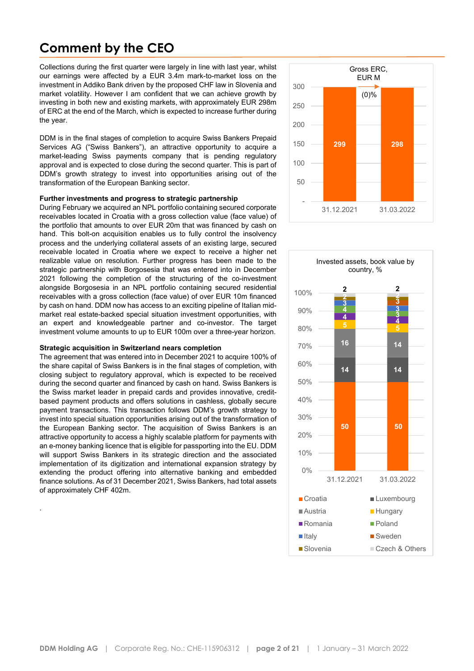# **Comment by the CEO**

Collections during the first quarter were largely in line with last year, whilst our earnings were affected by a EUR 3.4m mark-to-market loss on the investment in Addiko Bank driven by the proposed CHF law in Slovenia and market volatility. However I am confident that we can achieve growth by investing in both new and existing markets, with approximately EUR 298m of ERC at the end of the March, which is expected to increase further during the year.

DDM is in the final stages of completion to acquire Swiss Bankers Prepaid Services AG ("Swiss Bankers"), an attractive opportunity to acquire a market-leading Swiss payments company that is pending regulatory approval and is expected to close during the second quarter. This is part of DDM's growth strategy to invest into opportunities arising out of the transformation of the European Banking sector.

#### **Further investments and progress to strategic partnership**

During February we acquired an NPL portfolio containing secured corporate receivables located in Croatia with a gross collection value (face value) of the portfolio that amounts to over EUR 20m that was financed by cash on hand. This bolt-on acquisition enables us to fully control the insolvency process and the underlying collateral assets of an existing large, secured receivable located in Croatia where we expect to receive a higher net realizable value on resolution. Further progress has been made to the strategic partnership with Borgosesia that was entered into in December 2021 following the completion of the structuring of the co-investment alongside Borgosesia in an NPL portfolio containing secured residential receivables with a gross collection (face value) of over EUR 10m financed by cash on hand. DDM now has access to an exciting pipeline of Italian midmarket real estate-backed special situation investment opportunities, with an expert and knowledgeable partner and co-investor. The target investment volume amounts to up to EUR 100m over a three-year horizon.

#### **Strategic acquisition in Switzerland nears completion**

.

The agreement that was entered into in December 2021 to acquire 100% of the share capital of Swiss Bankers is in the final stages of completion, with closing subject to regulatory approval, which is expected to be received during the second quarter and financed by cash on hand. Swiss Bankers is the Swiss market leader in prepaid cards and provides innovative, creditbased payment products and offers solutions in cashless, globally secure payment transactions. This transaction follows DDM's growth strategy to invest into special situation opportunities arising out of the transformation of the European Banking sector. The acquisition of Swiss Bankers is an attractive opportunity to access a highly scalable platform for payments with an e-money banking licence that is eligible for passporting into the EU. DDM will support Swiss Bankers in its strategic direction and the associated implementation of its digitization and international expansion strategy by extending the product offering into alternative banking and embedded finance solutions. As of 31 December 2021, Swiss Bankers, had total assets of approximately CHF 402m.



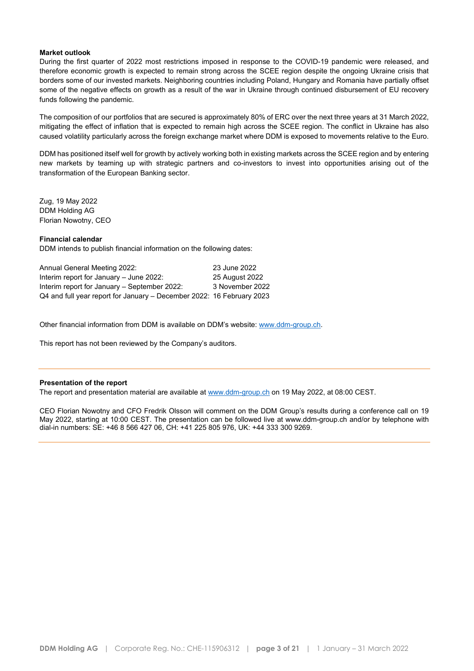#### **Market outlook**

During the first quarter of 2022 most restrictions imposed in response to the COVID-19 pandemic were released, and therefore economic growth is expected to remain strong across the SCEE region despite the ongoing Ukraine crisis that borders some of our invested markets. Neighboring countries including Poland, Hungary and Romania have partially offset some of the negative effects on growth as a result of the war in Ukraine through continued disbursement of EU recovery funds following the pandemic.

The composition of our portfolios that are secured is approximately 80% of ERC over the next three years at 31 March 2022, mitigating the effect of inflation that is expected to remain high across the SCEE region. The conflict in Ukraine has also caused volatility particularly across the foreign exchange market where DDM is exposed to movements relative to the Euro.

DDM has positioned itself well for growth by actively working both in existing markets across the SCEE region and by entering new markets by teaming up with strategic partners and co-investors to invest into opportunities arising out of the transformation of the European Banking sector.

Zug, 19 May 2022 DDM Holding AG Florian Nowotny, CEO

#### **Financial calendar**

DDM intends to publish financial information on the following dates:

| Annual General Meeting 2022:                                          | 23 June 2022    |
|-----------------------------------------------------------------------|-----------------|
| Interim report for January - June 2022:                               | 25 August 2022  |
| Interim report for January – September 2022:                          | 3 November 2022 |
| Q4 and full year report for January – December 2022: 16 February 2023 |                 |

Other financial information from DDM is available on DDM's website: [www.ddm-group.ch.](http://ddm-group.ch/)

This report has not been reviewed by the Company's auditors.

#### **Presentation of the report**

The report and presentation material are available at [www.ddm-group.ch](http://ddm-group.ch/) on 19 May 2022, at 08:00 CEST.

CEO Florian Nowotny and CFO Fredrik Olsson will comment on the DDM Group's results during a conference call on 19 May 2022, starting at 10:00 CEST. The presentation can be followed live at [www.ddm-group.ch](https://financialhearings.com/event/44201) and/or by telephone with dial-in numbers: SE: +46 8 566 427 06, CH: +41 225 805 976, UK: +44 333 300 9269.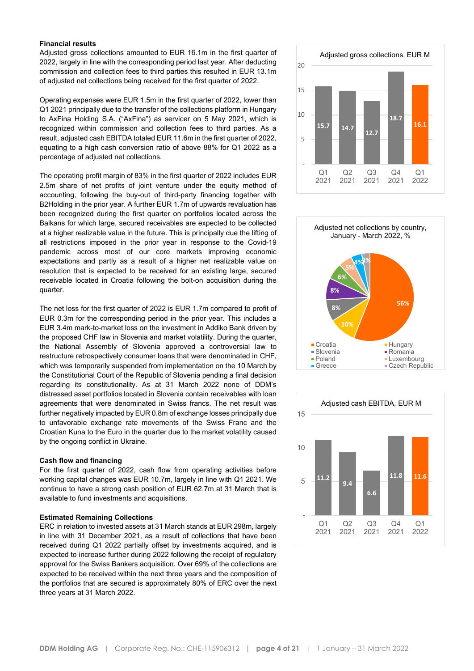#### **Financial results**

Adjusted gross collections amounted to EUR 16.1m in the first quarter of 2022, largely in line with the corresponding period last year. After deducting commission and collection fees to third parties this resulted in EUR 13.1m of adjusted net collections being received for the first quarter of 2022.

Operating expenses were EUR 1.5m in the first quarter of 2022, lower than Q1 2021 principally due to the transfer of the collections platform in Hungary to AxFina Holding S.A. ("AxFina") as servicer on 5 May 2021, which is recognized within commission and collection fees to third parties. As a result, adjusted cash EBITDA totaled EUR 11.6m in the first quarter of 2022, equating to a high cash conversion ratio of above 88% for Q1 2022 as a percentage of adjusted net collections.

The operating profit margin of 83% in the first quarter of 2022 includes EUR 2.5m share of net profits of joint venture under the equity method of accounting, following the buy-out of third-party financing together with B2Holding in the prior year. A further EUR 1.7m of upwards revaluation has been recognized during the first quarter on portfolios located across the Balkans for which large, secured receivables are expected to be collected at a higher realizable value in the future. This is principally due the lifting of all restrictions imposed in the prior year in response to the Covid-19 pandemic across most of our core markets improving economic expectations and partly as a result of a higher net realizable value on resolution that is expected to be received for an existing large, secured receivable located in Croatia following the bolt-on acquisition during the quarter.

The net loss for the first quarter of 2022 is EUR 1.7m compared to profit of EUR 0.3m for the corresponding period in the prior year. This includes a EUR 3.4m mark-to-market loss on the investment in Addiko Bank driven by the proposed CHF law in Slovenia and market volatility. During the quarter, the National Assembly of Slovenia approved a controversial law to restructure retrospectively consumer loans that were denominated in CHF, which was temporarily suspended from implementation on the 10 March by the Constitutional Court of the Republic of Slovenia pending a final decision regarding its constitutionality. As at 31 March 2022 none of DDM's distressed asset portfolios located in Slovenia contain receivables with loan agreements that were denominated in Swiss francs. The net result was further negatively impacted by EUR 0.8m of exchange losses principally due to unfavorable exchange rate movements of the Swiss Franc and the Croatian Kuna to the Euro in the quarter due to the market volatility caused by the ongoing conflict in Ukraine.

#### **Cash flow and financing**

For the first quarter of 2022, cash flow from operating activities before working capital changes was EUR 10.7m, largely in line with Q1 2021. We continue to have a strong cash position of EUR 62.7m at 31 March that is available to fund investments and acquisitions.

#### **Estimated Remaining Collections**

ERC in relation to invested assets at 31 March stands at EUR 298m, largely in line with 31 December 2021, as a result of collections that have been received during Q1 2022 partially offset by investments acquired, and is expected to increase further during 2022 following the receipt of regulatory approval for the Swiss Bankers acquisition. Over 69% of the collections are expected to be received within the next three years and the composition of the portfolios that are secured is approximately 80% of ERC over the next three years at 31 March 2022.





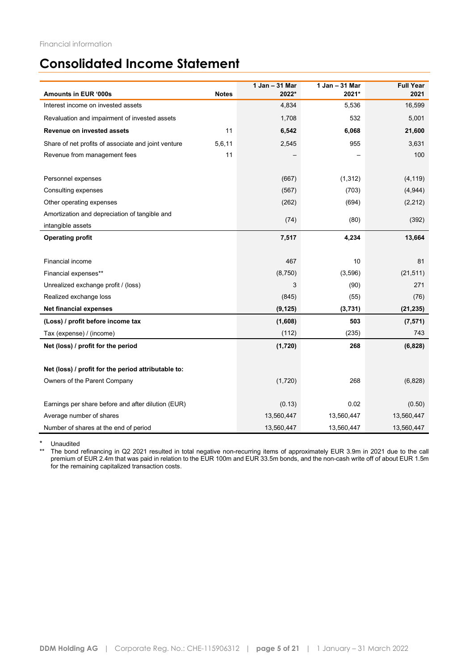### **Consolidated Income Statement**

| Amounts in EUR '000s                                | <b>Notes</b> | 1 Jan - 31 Mar<br>2022* | 1 Jan - 31 Mar<br>2021* | <b>Full Year</b><br>2021 |
|-----------------------------------------------------|--------------|-------------------------|-------------------------|--------------------------|
| Interest income on invested assets                  |              | 4,834                   | 5,536                   | 16,599                   |
| Revaluation and impairment of invested assets       |              | 1,708                   | 532                     | 5,001                    |
| <b>Revenue on invested assets</b>                   | 11           | 6,542                   | 6,068                   | 21,600                   |
| Share of net profits of associate and joint venture | 5,6,11       | 2,545                   | 955                     | 3,631                    |
| Revenue from management fees                        | 11           |                         |                         | 100                      |
|                                                     |              |                         |                         |                          |
| Personnel expenses                                  |              | (667)                   | (1, 312)                | (4, 119)                 |
| Consulting expenses                                 |              | (567)                   | (703)                   | (4,944)                  |
| Other operating expenses                            |              | (262)                   | (694)                   | (2, 212)                 |
| Amortization and depreciation of tangible and       |              | (74)                    | (80)                    | (392)                    |
| intangible assets                                   |              |                         |                         |                          |
| <b>Operating profit</b>                             |              | 7,517                   | 4,234                   | 13,664                   |
|                                                     |              |                         |                         |                          |
| Financial income                                    |              | 467                     | 10                      | 81                       |
| Financial expenses**                                |              | (8,750)                 | (3,596)                 | (21, 511)                |
| Unrealized exchange profit / (loss)                 |              | 3                       | (90)                    | 271                      |
| Realized exchange loss                              |              | (845)                   | (55)                    | (76)                     |
| <b>Net financial expenses</b>                       |              | (9, 125)                | (3,731)                 | (21, 235)                |
| (Loss) / profit before income tax                   |              | (1,608)                 | 503                     | (7, 571)                 |
| Tax (expense) / (income)                            |              | (112)                   | (235)                   | 743                      |
| Net (loss) / profit for the period                  |              | (1,720)                 | 268                     | (6, 828)                 |
|                                                     |              |                         |                         |                          |
| Net (loss) / profit for the period attributable to: |              |                         |                         |                          |
| Owners of the Parent Company                        |              | (1,720)                 | 268                     | (6,828)                  |
|                                                     |              |                         |                         |                          |
| Earnings per share before and after dilution (EUR)  |              | (0.13)                  | 0.02                    | (0.50)                   |
| Average number of shares                            |              | 13,560,447              | 13,560,447              | 13,560,447               |
| Number of shares at the end of period               |              | 13,560,447              | 13,560,447              | 13,560,447               |

\* Unaudited<br>\*\* The bond

\*\* The bond refinancing in Q2 2021 resulted in total negative non-recurring items of approximately EUR 3.9m in 2021 due to the call premium of EUR 2.4m that was paid in relation to the EUR 100m and EUR 33.5m bonds, and the non-cash write off of about EUR 1.5m for the remaining capitalized transaction costs.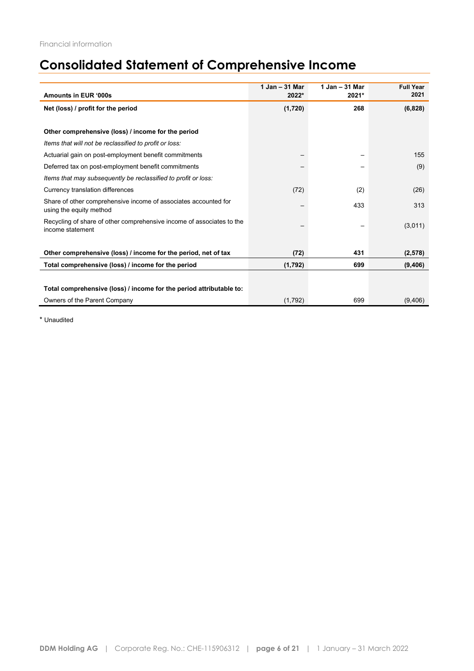# **Consolidated Statement of Comprehensive Income**

| Amounts in EUR '000s                                                                       | 1 Jan - 31 Mar<br>2022* | 1 Jan - 31 Mar<br>2021* | <b>Full Year</b><br>2021 |
|--------------------------------------------------------------------------------------------|-------------------------|-------------------------|--------------------------|
|                                                                                            |                         |                         |                          |
| Net (loss) / profit for the period                                                         | (1,720)                 | 268                     | (6,828)                  |
|                                                                                            |                         |                         |                          |
| Other comprehensive (loss) / income for the period                                         |                         |                         |                          |
| Items that will not be reclassified to profit or loss:                                     |                         |                         |                          |
| Actuarial gain on post-employment benefit commitments                                      |                         |                         | 155                      |
| Deferred tax on post-employment benefit commitments                                        |                         |                         | (9)                      |
| Items that may subsequently be reclassified to profit or loss:                             |                         |                         |                          |
| Currency translation differences                                                           | (72)                    | (2)                     | (26)                     |
| Share of other comprehensive income of associates accounted for<br>using the equity method |                         | 433                     | 313                      |
| Recycling of share of other comprehensive income of associates to the<br>income statement  |                         |                         | (3,011)                  |
|                                                                                            |                         |                         |                          |
| Other comprehensive (loss) / income for the period, net of tax                             | (72)                    | 431                     | (2,578)                  |
| Total comprehensive (loss) / income for the period                                         | (1,792)                 | 699                     | (9,406)                  |
|                                                                                            |                         |                         |                          |
| Total comprehensive (loss) / income for the period attributable to:                        |                         |                         |                          |
| Owners of the Parent Company                                                               | (1,792)                 | 699                     | (9,406)                  |

\* Unaudited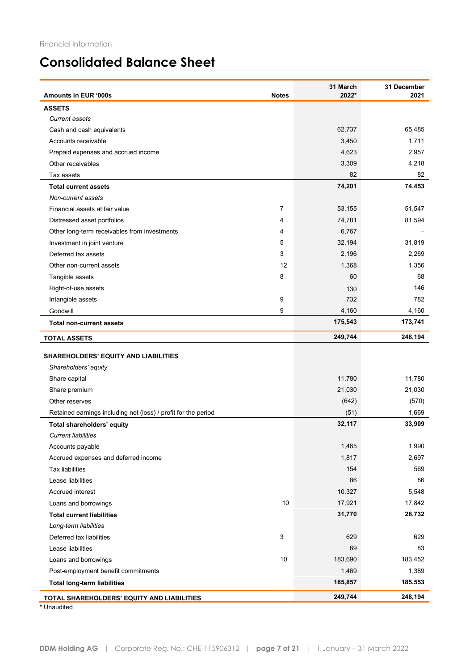# **Consolidated Balance Sheet**

| Amounts in EUR '000s<br><b>Notes</b>                           | 31 March<br>2022* | 31 December<br>2021 |
|----------------------------------------------------------------|-------------------|---------------------|
| <b>ASSETS</b>                                                  |                   |                     |
| <b>Current assets</b>                                          |                   |                     |
| Cash and cash equivalents                                      | 62,737            | 65,485              |
| Accounts receivable                                            | 3,450             | 1,711               |
| Prepaid expenses and accrued income                            | 4,623             | 2,957               |
| Other receivables                                              | 3,309             | 4,218               |
| Tax assets                                                     | 82                | 82                  |
| <b>Total current assets</b>                                    | 74,201            | 74,453              |
| Non-current assets                                             |                   |                     |
| Financial assets at fair value<br>7                            | 53,155            | 51,547              |
| 4<br>Distressed asset portfolios                               | 74,781            | 81,594              |
| Other long-term receivables from investments<br>4              | 6,767             |                     |
| 5<br>Investment in joint venture                               | 32,194            | 31,819              |
| 3<br>Deferred tax assets                                       | 2,196             | 2,269               |
| 12<br>Other non-current assets                                 | 1,368             | 1,356               |
| 8<br>Tangible assets                                           | 60                | 68                  |
| Right-of-use assets                                            | 130               | 146                 |
| Intangible assets<br>9                                         | 732               | 782                 |
| Goodwill<br>9                                                  | 4,160             | 4,160               |
| <b>Total non-current assets</b>                                | 175,543           | 173,741             |
| <b>TOTAL ASSETS</b>                                            | 249,744           | 248,194             |
| <b>SHAREHOLDERS' EQUITY AND LIABILITIES</b>                    |                   |                     |
| Shareholders' equity                                           |                   |                     |
| Share capital                                                  | 11,780            | 11,780              |
| Share premium                                                  | 21,030            | 21,030              |
| Other reserves                                                 | (642)             | (570)               |
| Retained earnings including net (loss) / profit for the period | (51)              | 1,669               |
| Total shareholders' equity                                     | 32,117            | 33,909              |
| <b>Current liabilities</b>                                     |                   |                     |
| Accounts payable                                               | 1,465             | 1,990               |
| Accrued expenses and deferred income                           | 1,817             | 2,697               |
| <b>Tax liabilities</b>                                         | 154               | 569                 |
| Lease liabilities                                              | 86                | 86                  |
| Accrued interest                                               | 10,327            | 5,548               |
| 10<br>Loans and borrowings                                     | 17,921            | 17,842              |
| <b>Total current liabilities</b>                               | 31,770            | 28,732              |
| Long-term liabilities                                          |                   |                     |
| 3<br>Deferred tax liabilities                                  | 629               | 629                 |
| Lease liabilities                                              | 69                | 83                  |
| 10<br>Loans and borrowings                                     | 183,690           | 183,452             |
| Post-employment benefit commitments                            | 1,469             | 1,389               |
| <b>Total long-term liabilities</b>                             | 185,857           | 185,553             |
| TOTAL SHAREHOLDERS' EQUITY AND LIABILITIES                     | 249,744           | 248,194             |

**Unaudited**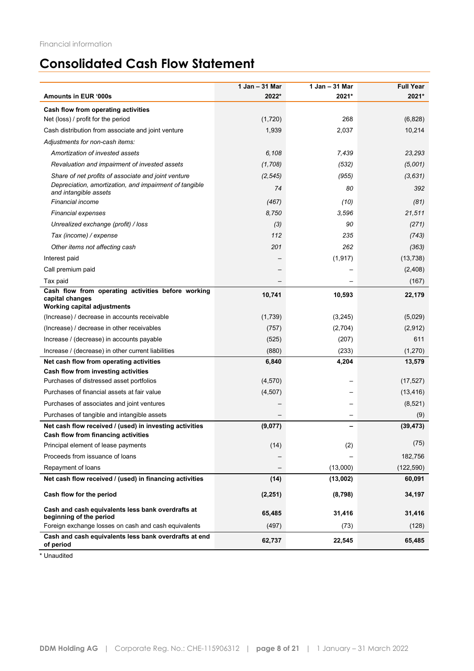# **Consolidated Cash Flow Statement**

|                                                                                                             | 1 Jan - 31 Mar | 1 Jan - 31 Mar | <b>Full Year</b> |
|-------------------------------------------------------------------------------------------------------------|----------------|----------------|------------------|
| Amounts in EUR '000s                                                                                        | 2022*          | 2021*          | 2021*            |
| Cash flow from operating activities                                                                         |                |                |                  |
| Net (loss) / profit for the period                                                                          | (1,720)        | 268            | (6,828)          |
| Cash distribution from associate and joint venture                                                          | 1,939          | 2,037          | 10,214           |
| Adjustments for non-cash items:                                                                             |                |                |                  |
| Amortization of invested assets                                                                             | 6,108          | 7,439          | 23,293           |
| Revaluation and impairment of invested assets                                                               | (1,708)        | (532)          | (5,001)          |
| Share of net profits of associate and joint venture                                                         | (2, 545)       | (955)          | (3,631)          |
| Depreciation, amortization, and impairment of tangible<br>and intangible assets                             | 74             | 80             | 392              |
| <b>Financial income</b>                                                                                     | (467)          | (10)           | (81)             |
| <b>Financial expenses</b>                                                                                   | 8,750          | 3,596          | 21,511           |
| Unrealized exchange (profit) / loss                                                                         | (3)            | 90             | (271)            |
| Tax (income) / expense                                                                                      | 112            | 235            | (743)            |
| Other items not affecting cash                                                                              | 201            | 262            | (363)            |
| Interest paid                                                                                               |                | (1, 917)       | (13, 738)        |
| Call premium paid                                                                                           |                |                | (2,408)          |
| Tax paid                                                                                                    |                |                | (167)            |
| Cash flow from operating activities before working<br>capital changes<br><b>Working capital adjustments</b> | 10,741         | 10,593         | 22,179           |
| (Increase) / decrease in accounts receivable                                                                | (1,739)        | (3,245)        | (5,029)          |
| (Increase) / decrease in other receivables                                                                  | (757)          | (2,704)        | (2,912)          |
| Increase / (decrease) in accounts payable                                                                   | (525)          | (207)          | 611              |
| Increase / (decrease) in other current liabilities                                                          | (880)          | (233)          | (1, 270)         |
| Net cash flow from operating activities                                                                     | 6,840          | 4,204          | 13,579           |
| Cash flow from investing activities                                                                         |                |                |                  |
| Purchases of distressed asset portfolios                                                                    | (4,570)        |                | (17, 527)        |
| Purchases of financial assets at fair value                                                                 | (4, 507)       |                | (13, 416)        |
| Purchases of associates and joint ventures                                                                  |                |                | (8, 521)         |
| Purchases of tangible and intangible assets                                                                 |                |                | (9)              |
| Net cash flow received / (used) in investing activities<br><b>Cash flow from financing activities</b>       | (9,077)        |                | (39, 473)        |
| Principal element of lease payments                                                                         | (14)           | (2)            | (75)             |
| Proceeds from issuance of loans                                                                             |                |                | 182,756          |
| Repayment of loans                                                                                          |                | (13,000)       | (122, 590)       |
| Net cash flow received / (used) in financing activities                                                     | (14)           | (13,002)       | 60,091           |
| Cash flow for the period                                                                                    | (2, 251)       | (8,798)        | 34,197           |
| Cash and cash equivalents less bank overdrafts at                                                           | 65,485         | 31,416         | 31,416           |
| beginning of the period<br>Foreign exchange losses on cash and cash equivalents                             | (497)          | (73)           | (128)            |
| Cash and cash equivalents less bank overdrafts at end                                                       | 62,737         | 22,545         | 65,485           |
| of period                                                                                                   |                |                |                  |

\* Unaudited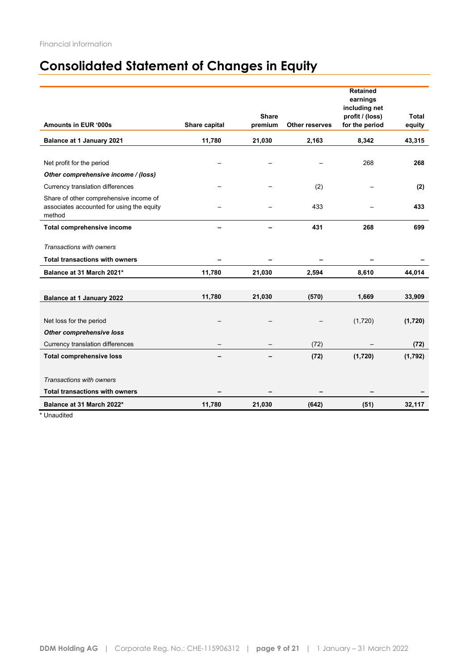# **Consolidated Statement of Changes in Equity**

|                                                     |               |              |                       | <b>Retained</b> |         |
|-----------------------------------------------------|---------------|--------------|-----------------------|-----------------|---------|
|                                                     |               |              |                       | earnings        |         |
|                                                     |               |              |                       | including net   |         |
|                                                     |               | <b>Share</b> |                       | profit / (loss) | Total   |
| Amounts in EUR '000s                                | Share capital | premium      | <b>Other reserves</b> | for the period  | equity  |
| Balance at 1 January 2021                           | 11,780        | 21,030       | 2,163                 | 8,342           | 43,315  |
|                                                     |               |              |                       |                 |         |
| Net profit for the period                           |               |              |                       | 268             | 268     |
| Other comprehensive income / (loss)                 |               |              |                       |                 |         |
| Currency translation differences                    |               |              | (2)                   |                 | (2)     |
| Share of other comprehensive income of              |               |              |                       |                 |         |
| associates accounted for using the equity<br>method |               |              | 433                   |                 | 433     |
|                                                     |               |              |                       |                 |         |
| Total comprehensive income                          |               |              | 431                   | 268             | 699     |
| Transactions with owners                            |               |              |                       |                 |         |
| <b>Total transactions with owners</b>               |               |              |                       |                 |         |
| Balance at 31 March 2021*                           | 11,780        | 21,030       | 2,594                 | 8,610           | 44,014  |
|                                                     |               |              |                       |                 |         |
| Balance at 1 January 2022                           | 11,780        | 21,030       | (570)                 | 1,669           | 33,909  |
|                                                     |               |              |                       |                 |         |
| Net loss for the period                             |               |              |                       | (1,720)         | (1,720) |
| <b>Other comprehensive loss</b>                     |               |              |                       |                 |         |
| Currency translation differences                    |               |              | (72)                  |                 | (72)    |
| <b>Total comprehensive loss</b>                     |               |              | (72)                  | (1,720)         | (1,792) |
|                                                     |               |              |                       |                 |         |
| Transactions with owners                            |               |              |                       |                 |         |
| <b>Total transactions with owners</b>               |               |              |                       |                 |         |
| Balance at 31 March 2022*                           | 11,780        | 21,030       | (642)                 | (51)            | 32,117  |
|                                                     |               |              |                       |                 |         |

\* Unaudited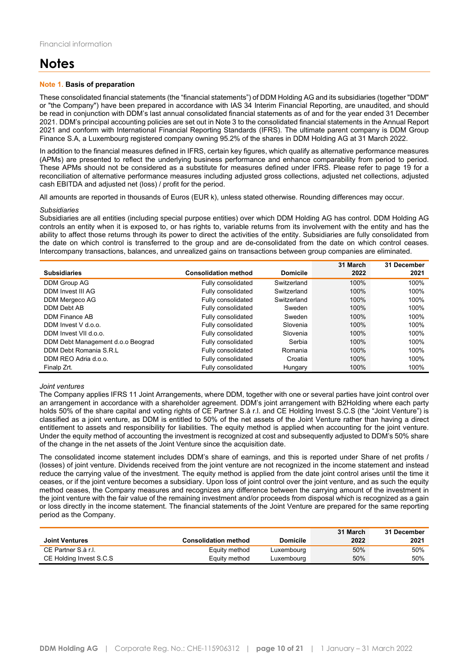### **Notes**

#### **Note 1. Basis of preparation**

These consolidated financial statements (the "financial statements") of DDM Holding AG and its subsidiaries (together "DDM" or "the Company") have been prepared in accordance with IAS 34 Interim Financial Reporting, are unaudited, and should be read in conjunction with DDM's last annual consolidated financial statements as of and for the year ended 31 December 2021. DDM's principal accounting policies are set out in Note 3 to the consolidated financial statements in the Annual Report 2021 and conform with International Financial Reporting Standards (IFRS). The ultimate parent company is DDM Group Finance S.A, a Luxembourg registered company owning 95.2% of the shares in DDM Holding AG at 31 March 2022.

In addition to the financial measures defined in IFRS, certain key figures, which qualify as alternative performance measures (APMs) are presented to reflect the underlying business performance and enhance comparability from period to period. These APMs should not be considered as a substitute for measures defined under IFRS. Please refer to page 19 for a reconciliation of alternative performance measures including adjusted gross collections, adjusted net collections, adjusted cash EBITDA and adjusted net (loss) / profit for the period.

All amounts are reported in thousands of Euros (EUR k), unless stated otherwise. Rounding differences may occur.

#### *Subsidiaries*

Subsidiaries are all entities (including special purpose entities) over which DDM Holding AG has control. DDM Holding AG controls an entity when it is exposed to, or has rights to, variable returns from its involvement with the entity and has the ability to affect those returns through its power to direct the activities of the entity. Subsidiaries are fully consolidated from the date on which control is transferred to the group and are de-consolidated from the date on which control ceases. Intercompany transactions, balances, and unrealized gains on transactions between group companies are eliminated.

|                                   |                             |                 | 31 March | 31 December |
|-----------------------------------|-----------------------------|-----------------|----------|-------------|
| <b>Subsidiaries</b>               | <b>Consolidation method</b> | <b>Domicile</b> | 2022     | 2021        |
| DDM Group AG                      | Fully consolidated          | Switzerland     | 100%     | 100%        |
| DDM Invest III AG                 | Fully consolidated          | Switzerland     | 100%     | 100%        |
| DDM Mergeco AG                    | Fully consolidated          | Switzerland     | 100%     | 100%        |
| DDM Debt AB                       | Fully consolidated          | Sweden          | 100%     | 100%        |
| DDM Finance AB                    | Fully consolidated          | Sweden          | 100%     | 100%        |
| DDM Invest V d.o.o.               | Fully consolidated          | Slovenia        | 100%     | 100%        |
| DDM Invest VII d.o.o.             | Fully consolidated          | Slovenia        | 100%     | 100%        |
| DDM Debt Management d.o.o Beograd | Fully consolidated          | Serbia          | 100%     | 100%        |
| DDM Debt Romania S.R.L            | Fully consolidated          | Romania         | 100%     | 100%        |
| DDM REO Adria d.o.o.              | Fully consolidated          | Croatia         | 100%     | 100%        |
| Finalp Zrt.                       | Fully consolidated          | Hungary         | 100%     | 100%        |

#### *Joint ventures*

The Company applies IFRS 11 Joint Arrangements, where DDM, together with one or several parties have joint control over an arrangement in accordance with a shareholder agreement. DDM's joint arrangement with B2Holding where each party holds 50% of the share capital and voting rights of CE Partner S.à r.l. and CE Holding Invest S.C.S (the "Joint Venture") is classified as a joint venture, as DDM is entitled to 50% of the net assets of the Joint Venture rather than having a direct entitlement to assets and responsibility for liabilities. The equity method is applied when accounting for the joint venture. Under the equity method of accounting the investment is recognized at cost and subsequently adjusted to DDM's 50% share of the change in the net assets of the Joint Venture since the acquisition date.

The consolidated income statement includes DDM's share of earnings, and this is reported under Share of net profits / (losses) of joint venture. Dividends received from the joint venture are not recognized in the income statement and instead reduce the carrying value of the investment. The equity method is applied from the date joint control arises until the time it ceases, or if the joint venture becomes a subsidiary. Upon loss of joint control over the joint venture, and as such the equity method ceases, the Company measures and recognizes any difference between the carrying amount of the investment in the joint venture with the fair value of the remaining investment and/or proceeds from disposal which is recognized as a gain or loss directly in the income statement. The financial statements of the Joint Venture are prepared for the same reporting period as the Company.

|                         |                             |                 | 31 March | 31 December |
|-------------------------|-----------------------------|-----------------|----------|-------------|
| <b>Joint Ventures</b>   | <b>Consolidation method</b> | <b>Domicile</b> | 2022     | 2021        |
| CE Partner S.à r.l.     | Equity method               | Luxembourg      | 50%      | 50%         |
| CE Holding Invest S.C.S | Equity method               | Luxembourg      | 50%      | 50%         |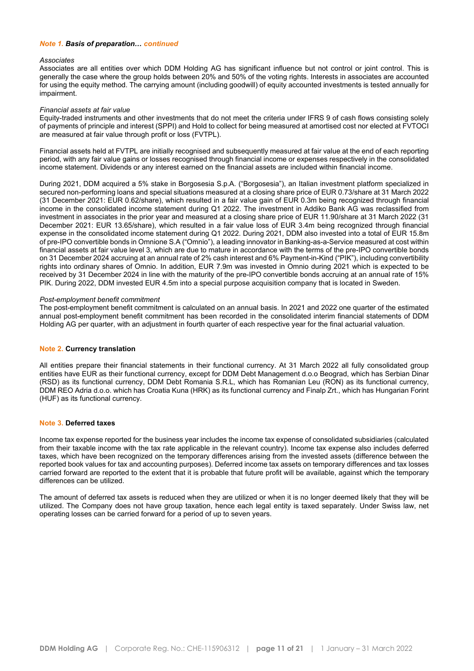#### *Note 1. Basis of preparation… continued*

#### *Associates*

Associates are all entities over which DDM Holding AG has significant influence but not control or joint control. This is generally the case where the group holds between 20% and 50% of the voting rights. Interests in associates are accounted for using the equity method. The carrying amount (including goodwill) of equity accounted investments is tested annually for impairment.

#### *Financial assets at fair value*

Equity-traded instruments and other investments that do not meet the criteria under IFRS 9 of cash flows consisting solely of payments of principle and interest (SPPI) and Hold to collect for being measured at amortised cost nor elected at FVTOCI are measured at fair value through profit or loss (FVTPL).

Financial assets held at FVTPL are initially recognised and subsequently measured at fair value at the end of each reporting period, with any fair value gains or losses recognised through financial income or expenses respectively in the consolidated income statement. Dividends or any interest earned on the financial assets are included within financial income.

During 2021, DDM acquired a 5% stake in Borgosesia S.p.A. ("Borgosesia"), an Italian investment platform specialized in secured non-performing loans and special situations measured at a closing share price of EUR 0.73/share at 31 March 2022 (31 December 2021: EUR 0.62/share), which resulted in a fair value gain of EUR 0.3m being recognized through financial income in the consolidated income statement during Q1 2022. The investment in Addiko Bank AG was reclassified from investment in associates in the prior year and measured at a closing share price of EUR 11.90/share at 31 March 2022 (31 December 2021: EUR 13.65/share), which resulted in a fair value loss of EUR 3.4m being recognized through financial expense in the consolidated income statement during Q1 2022. During 2021, DDM also invested into a total of EUR 15.8m of pre-IPO convertible bonds in Omnione S.A ("Omnio"), a leading innovator in Banking-as-a-Service measured at cost within financial assets at fair value level 3, which are due to mature in accordance with the terms of the pre-IPO convertible bonds on 31 December 2024 accruing at an annual rate of 2% cash interest and 6% Payment-in-Kind ("PIK"), including convertibility rights into ordinary shares of Omnio. In addition, EUR 7.9m was invested in Omnio during 2021 which is expected to be received by 31 December 2024 in line with the maturity of the pre-IPO convertible bonds accruing at an annual rate of 15% PIK. During 2022, DDM invested EUR 4.5m into a special purpose acquisition company that is located in Sweden.

#### *Post-employment benefit commitment*

The post-employment benefit commitment is calculated on an annual basis. In 2021 and 2022 one quarter of the estimated annual post-employment benefit commitment has been recorded in the consolidated interim financial statements of DDM Holding AG per quarter, with an adjustment in fourth quarter of each respective year for the final actuarial valuation.

#### **Note 2. Currency translation**

All entities prepare their financial statements in their functional currency. At 31 March 2022 all fully consolidated group entities have EUR as their functional currency, except for DDM Debt Management d.o.o Beograd, which has Serbian Dinar (RSD) as its functional currency, DDM Debt Romania S.R.L, which has Romanian Leu (RON) as its functional currency, DDM REO Adria d.o.o. which has Croatia Kuna (HRK) as its functional currency and Finalp Zrt., which has Hungarian Forint (HUF) as its functional currency.

#### **Note 3. Deferred taxes**

Income tax expense reported for the business year includes the income tax expense of consolidated subsidiaries (calculated from their taxable income with the tax rate applicable in the relevant country). Income tax expense also includes deferred taxes, which have been recognized on the temporary differences arising from the invested assets (difference between the reported book values for tax and accounting purposes). Deferred income tax assets on temporary differences and tax losses carried forward are reported to the extent that it is probable that future profit will be available, against which the temporary differences can be utilized.

The amount of deferred tax assets is reduced when they are utilized or when it is no longer deemed likely that they will be utilized. The Company does not have group taxation, hence each legal entity is taxed separately. Under Swiss law, net operating losses can be carried forward for a period of up to seven years.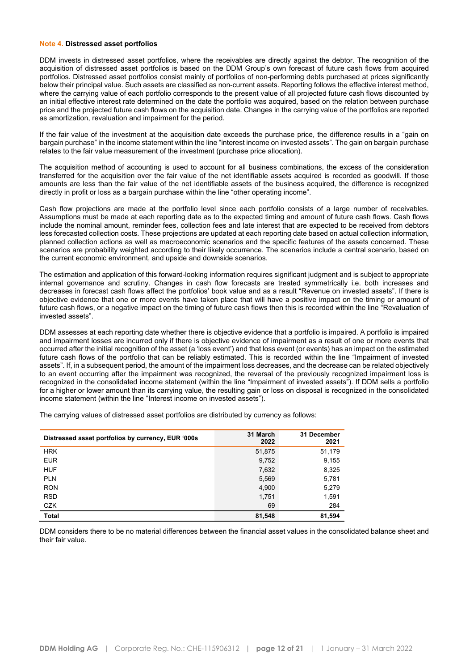#### **Note 4. Distressed asset portfolios**

DDM invests in distressed asset portfolios, where the receivables are directly against the debtor. The recognition of the acquisition of distressed asset portfolios is based on the DDM Group's own forecast of future cash flows from acquired portfolios. Distressed asset portfolios consist mainly of portfolios of non-performing debts purchased at prices significantly below their principal value. Such assets are classified as non-current assets. Reporting follows the effective interest method, where the carrying value of each portfolio corresponds to the present value of all projected future cash flows discounted by an initial effective interest rate determined on the date the portfolio was acquired, based on the relation between purchase price and the projected future cash flows on the acquisition date. Changes in the carrying value of the portfolios are reported as amortization, revaluation and impairment for the period.

If the fair value of the investment at the acquisition date exceeds the purchase price, the difference results in a "gain on bargain purchase" in the income statement within the line "interest income on invested assets". The gain on bargain purchase relates to the fair value measurement of the investment (purchase price allocation).

The acquisition method of accounting is used to account for all business combinations, the excess of the consideration transferred for the acquisition over the fair value of the net identifiable assets acquired is recorded as goodwill. If those amounts are less than the fair value of the net identifiable assets of the business acquired, the difference is recognized directly in profit or loss as a bargain purchase within the line "other operating income".

Cash flow projections are made at the portfolio level since each portfolio consists of a large number of receivables. Assumptions must be made at each reporting date as to the expected timing and amount of future cash flows. Cash flows include the nominal amount, reminder fees, collection fees and late interest that are expected to be received from debtors less forecasted collection costs. These projections are updated at each reporting date based on actual collection information, planned collection actions as well as macroeconomic scenarios and the specific features of the assets concerned. These scenarios are probability weighted according to their likely occurrence. The scenarios include a central scenario, based on the current economic environment, and upside and downside scenarios.

The estimation and application of this forward-looking information requires significant judgment and is subject to appropriate internal governance and scrutiny. Changes in cash flow forecasts are treated symmetrically i.e. both increases and decreases in forecast cash flows affect the portfolios' book value and as a result "Revenue on invested assets". If there is objective evidence that one or more events have taken place that will have a positive impact on the timing or amount of future cash flows, or a negative impact on the timing of future cash flows then this is recorded within the line "Revaluation of invested assets".

DDM assesses at each reporting date whether there is objective evidence that a portfolio is impaired. A portfolio is impaired and impairment losses are incurred only if there is objective evidence of impairment as a result of one or more events that occurred after the initial recognition of the asset (a 'loss event') and that loss event (or events) has an impact on the estimated future cash flows of the portfolio that can be reliably estimated. This is recorded within the line "Impairment of invested assets". If, in a subsequent period, the amount of the impairment loss decreases, and the decrease can be related objectively to an event occurring after the impairment was recognized, the reversal of the previously recognized impairment loss is recognized in the consolidated income statement (within the line "Impairment of invested assets"). If DDM sells a portfolio for a higher or lower amount than its carrying value, the resulting gain or loss on disposal is recognized in the consolidated income statement (within the line "Interest income on invested assets").

The carrying values of distressed asset portfolios are distributed by currency as follows:

| Distressed asset portfolios by currency, EUR '000s | 31 March<br>2022 | 31 December<br>2021 |
|----------------------------------------------------|------------------|---------------------|
| <b>HRK</b>                                         | 51,875           | 51,179              |
| <b>EUR</b>                                         | 9,752            | 9,155               |
| <b>HUF</b>                                         | 7,632            | 8,325               |
| <b>PLN</b>                                         | 5,569            | 5,781               |
| <b>RON</b>                                         | 4,900            | 5,279               |
| <b>RSD</b>                                         | 1,751            | 1,591               |
| <b>CZK</b>                                         | 69               | 284                 |
| <b>Total</b>                                       | 81,548           | 81,594              |

DDM considers there to be no material differences between the financial asset values in the consolidated balance sheet and their fair value.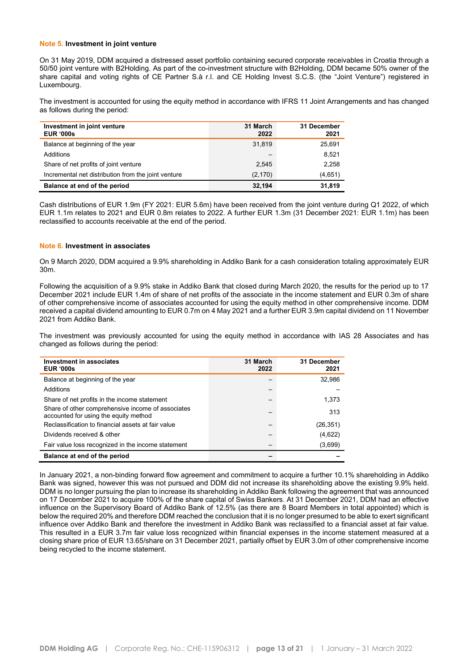#### **Note 5. Investment in joint venture**

On 31 May 2019, DDM acquired a distressed asset portfolio containing secured corporate receivables in Croatia through a 50/50 joint venture with B2Holding. As part of the co-investment structure with B2Holding, DDM became 50% owner of the share capital and voting rights of CE Partner S.à r.l. and CE Holding Invest S.C.S. (the "Joint Venture") registered in Luxembourg.

The investment is accounted for using the equity method in accordance with IFRS 11 Joint Arrangements and has changed as follows during the period:

| Investment in joint venture<br><b>EUR '000s</b>     | 31 March<br>2022 | 31 December<br>2021 |
|-----------------------------------------------------|------------------|---------------------|
| Balance at beginning of the year                    | 31,819           | 25,691              |
| Additions                                           |                  | 8,521               |
| Share of net profits of joint venture               | 2,545            | 2,258               |
| Incremental net distribution from the joint venture | (2, 170)         | (4,651)             |
| Balance at end of the period                        | 32.194           | 31,819              |

Cash distributions of EUR 1.9m (FY 2021: EUR 5.6m) have been received from the joint venture during Q1 2022, of which EUR 1.1m relates to 2021 and EUR 0.8m relates to 2022. A further EUR 1.3m (31 December 2021: EUR 1.1m) has been reclassified to accounts receivable at the end of the period.

#### **Note 6. Investment in associates**

On 9 March 2020, DDM acquired a 9.9% shareholding in Addiko Bank for a cash consideration totaling approximately EUR 30m.

Following the acquisition of a 9.9% stake in Addiko Bank that closed during March 2020, the results for the period up to 17 December 2021 include EUR 1.4m of share of net profits of the associate in the income statement and EUR 0.3m of share of other comprehensive income of associates accounted for using the equity method in other comprehensive income. DDM received a capital dividend amounting to EUR 0.7m on 4 May 2021 and a further EUR 3.9m capital dividend on 11 November 2021 from Addiko Bank.

The investment was previously accounted for using the equity method in accordance with IAS 28 Associates and has changed as follows during the period:

| <b>Investment in associates</b><br><b>EUR '000s</b>                                        | 31 March<br>2022 | 31 December<br>2021 |
|--------------------------------------------------------------------------------------------|------------------|---------------------|
| Balance at beginning of the year                                                           |                  | 32,986              |
| Additions                                                                                  |                  |                     |
| Share of net profits in the income statement                                               |                  | 1.373               |
| Share of other comprehensive income of associates<br>accounted for using the equity method |                  | 313                 |
| Reclassification to financial assets at fair value                                         |                  | (26, 351)           |
| Dividends received & other                                                                 |                  | (4,622)             |
| Fair value loss recognized in the income statement                                         |                  | (3,699)             |
| Balance at end of the period                                                               |                  |                     |

In January 2021, a non-binding forward flow agreement and commitment to acquire a further 10.1% shareholding in Addiko Bank was signed, however this was not pursued and DDM did not increase its shareholding above the existing 9.9% held. DDM is no longer pursuing the plan to increase its shareholding in Addiko Bank following the agreement that was announced on 17 December 2021 to acquire 100% of the share capital of Swiss Bankers. At 31 December 2021, DDM had an effective influence on the Supervisory Board of Addiko Bank of 12.5% (as there are 8 Board Members in total appointed) which is below the required 20% and therefore DDM reached the conclusion that it is no longer presumed to be able to exert significant influence over Addiko Bank and therefore the investment in Addiko Bank was reclassified to a financial asset at fair value. This resulted in a EUR 3.7m fair value loss recognized within financial expenses in the income statement measured at a closing share price of EUR 13.65/share on 31 December 2021, partially offset by EUR 3.0m of other comprehensive income being recycled to the income statement.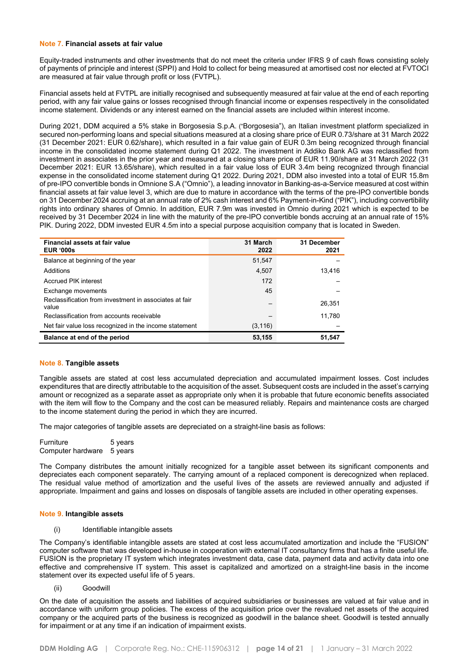#### **Note 7. Financial assets at fair value**

Equity-traded instruments and other investments that do not meet the criteria under IFRS 9 of cash flows consisting solely of payments of principle and interest (SPPI) and Hold to collect for being measured at amortised cost nor elected at FVTOCI are measured at fair value through profit or loss (FVTPL).

Financial assets held at FVTPL are initially recognised and subsequently measured at fair value at the end of each reporting period, with any fair value gains or losses recognised through financial income or expenses respectively in the consolidated income statement. Dividends or any interest earned on the financial assets are included within interest income.

During 2021, DDM acquired a 5% stake in Borgosesia S.p.A. ("Borgosesia"), an Italian investment platform specialized in secured non-performing loans and special situations measured at a closing share price of EUR 0.73/share at 31 March 2022 (31 December 2021: EUR 0.62/share), which resulted in a fair value gain of EUR 0.3m being recognized through financial income in the consolidated income statement during Q1 2022. The investment in Addiko Bank AG was reclassified from investment in associates in the prior year and measured at a closing share price of EUR 11.90/share at 31 March 2022 (31 December 2021: EUR 13.65/share), which resulted in a fair value loss of EUR 3.4m being recognized through financial expense in the consolidated income statement during Q1 2022. During 2021, DDM also invested into a total of EUR 15.8m of pre-IPO convertible bonds in Omnione S.A ("Omnio"), a leading innovator in Banking-as-a-Service measured at cost within financial assets at fair value level 3, which are due to mature in accordance with the terms of the pre-IPO convertible bonds on 31 December 2024 accruing at an annual rate of 2% cash interest and 6% Payment-in-Kind ("PIK"), including convertibility rights into ordinary shares of Omnio. In addition, EUR 7.9m was invested in Omnio during 2021 which is expected to be received by 31 December 2024 in line with the maturity of the pre-IPO convertible bonds accruing at an annual rate of 15% PIK. During 2022, DDM invested EUR 4.5m into a special purpose acquisition company that is located in Sweden.

| Financial assets at fair value<br><b>EUR '000s</b>              | 31 March<br>2022 | 31 December<br>2021 |
|-----------------------------------------------------------------|------------------|---------------------|
| Balance at beginning of the year                                | 51.547           |                     |
| Additions                                                       | 4,507            | 13,416              |
| <b>Accrued PIK interest</b>                                     | 172              |                     |
| Exchange movements                                              | 45               |                     |
| Reclassification from investment in associates at fair<br>value |                  | 26.351              |
| Reclassification from accounts receivable                       |                  | 11.780              |
| Net fair value loss recognized in the income statement          | (3, 116)         |                     |
| Balance at end of the period                                    | 53,155           | 51,547              |

#### **Note 8. Tangible assets**

Tangible assets are stated at cost less accumulated depreciation and accumulated impairment losses. Cost includes expenditures that are directly attributable to the acquisition of the asset. Subsequent costs are included in the asset's carrying amount or recognized as a separate asset as appropriate only when it is probable that future economic benefits associated with the item will flow to the Company and the cost can be measured reliably. Repairs and maintenance costs are charged to the income statement during the period in which they are incurred.

The major categories of tangible assets are depreciated on a straight-line basis as follows:

Furniture 5 years Computer hardware 5 years

The Company distributes the amount initially recognized for a tangible asset between its significant components and depreciates each component separately. The carrying amount of a replaced component is derecognized when replaced. The residual value method of amortization and the useful lives of the assets are reviewed annually and adjusted if appropriate. Impairment and gains and losses on disposals of tangible assets are included in other operating expenses.

#### **Note 9. Intangible assets**

(i) Identifiable intangible assets

The Company's identifiable intangible assets are stated at cost less accumulated amortization and include the "FUSION" computer software that was developed in-house in cooperation with external IT consultancy firms that has a finite useful life. FUSION is the proprietary IT system which integrates investment data, case data, payment data and activity data into one effective and comprehensive IT system. This asset is capitalized and amortized on a straight-line basis in the income statement over its expected useful life of 5 years.

(ii) Goodwill

On the date of acquisition the assets and liabilities of acquired subsidiaries or businesses are valued at fair value and in accordance with uniform group policies. The excess of the acquisition price over the revalued net assets of the acquired company or the acquired parts of the business is recognized as goodwill in the balance sheet. Goodwill is tested annually for impairment or at any time if an indication of impairment exists.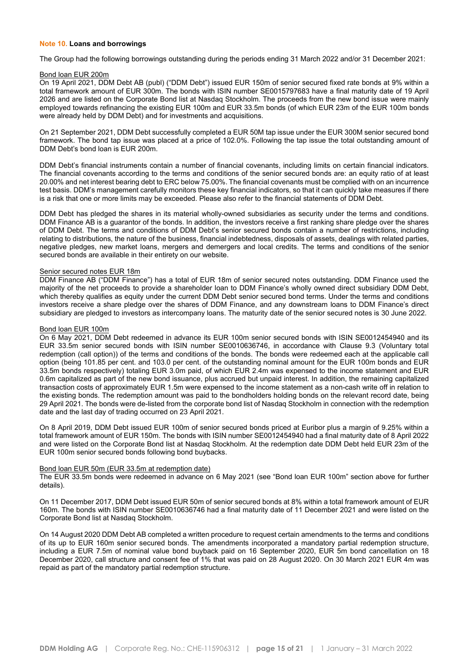#### **Note 10. Loans and borrowings**

The Group had the following borrowings outstanding during the periods ending 31 March 2022 and/or 31 December 2021:

#### Bond loan EUR 200m

On 19 April 2021, DDM Debt AB (publ) ("DDM Debt") issued EUR 150m of senior secured fixed rate bonds at 9% within a total framework amount of EUR 300m. The bonds with ISIN number SE0015797683 have a final maturity date of 19 April 2026 and are listed on the Corporate Bond list at Nasdaq Stockholm. The proceeds from the new bond issue were mainly employed towards refinancing the existing EUR 100m and EUR 33.5m bonds (of which EUR 23m of the EUR 100m bonds were already held by DDM Debt) and for investments and acquisitions.

On 21 September 2021, DDM Debt successfully completed a EUR 50M tap issue under the EUR 300M senior secured bond framework. The bond tap issue was placed at a price of 102.0%. Following the tap issue the total outstanding amount of DDM Debt's bond loan is EUR 200m.

DDM Debt's financial instruments contain a number of financial covenants, including limits on certain financial indicators. The financial covenants according to the terms and conditions of the senior secured bonds are: an equity ratio of at least 20.00% and net interest bearing debt to ERC below 75.00%. The financial covenants must be complied with on an incurrence test basis. DDM's management carefully monitors these key financial indicators, so that it can quickly take measures if there is a risk that one or more limits may be exceeded. Please also refer to the financial statements of DDM Debt.

DDM Debt has pledged the shares in its material wholly-owned subsidiaries as security under the terms and conditions. DDM Finance AB is a guarantor of the bonds. In addition, the investors receive a first ranking share pledge over the shares of DDM Debt. The terms and conditions of DDM Debt's senior secured bonds contain a number of restrictions, including relating to distributions, the nature of the business, financial indebtedness, disposals of assets, dealings with related parties, negative pledges, new market loans, mergers and demergers and local credits. The terms and conditions of the senior secured bonds are available in their entirety on our website.

#### Senior secured notes EUR 18m

DDM Finance AB ("DDM Finance") has a total of EUR 18m of senior secured notes outstanding. DDM Finance used the majority of the net proceeds to provide a shareholder loan to DDM Finance's wholly owned direct subsidiary DDM Debt, which thereby qualifies as equity under the current DDM Debt senior secured bond terms. Under the terms and conditions investors receive a share pledge over the shares of DDM Finance, and any downstream loans to DDM Finance's direct subsidiary are pledged to investors as intercompany loans. The maturity date of the senior secured notes is 30 June 2022.

#### Bond loan EUR 100m

On 6 May 2021, DDM Debt redeemed in advance its EUR 100m senior secured bonds with ISIN SE0012454940 and its EUR 33.5m senior secured bonds with ISIN number SE0010636746, in accordance with Clause 9.3 (Voluntary total redemption (call option)) of the terms and conditions of the bonds. The bonds were redeemed each at the applicable call option (being 101.85 per cent. and 103.0 per cent. of the outstanding nominal amount for the EUR 100m bonds and EUR 33.5m bonds respectively) totaling EUR 3.0m paid, of which EUR 2.4m was expensed to the income statement and EUR 0.6m capitalized as part of the new bond issuance, plus accrued but unpaid interest. In addition, the remaining capitalized transaction costs of approximately EUR 1.5m were expensed to the income statement as a non-cash write off in relation to the existing bonds. The redemption amount was paid to the bondholders holding bonds on the relevant record date, being 29 April 2021. The bonds were de-listed from the corporate bond list of Nasdaq Stockholm in connection with the redemption date and the last day of trading occurred on 23 April 2021.

On 8 April 2019, DDM Debt issued EUR 100m of senior secured bonds priced at Euribor plus a margin of 9.25% within a total framework amount of EUR 150m. The bonds with ISIN number SE0012454940 had a final maturity date of 8 April 2022 and were listed on the Corporate Bond list at Nasdaq Stockholm. At the redemption date DDM Debt held EUR 23m of the EUR 100m senior secured bonds following bond buybacks.

#### Bond loan EUR 50m (EUR 33.5m at redemption date)

The EUR 33.5m bonds were redeemed in advance on 6 May 2021 (see "Bond loan EUR 100m" section above for further details).

On 11 December 2017, DDM Debt issued EUR 50m of senior secured bonds at 8% within a total framework amount of EUR 160m. The bonds with ISIN number SE0010636746 had a final maturity date of 11 December 2021 and were listed on the Corporate Bond list at Nasdaq Stockholm.

On 14 August 2020 DDM Debt AB completed a written procedure to request certain amendments to the terms and conditions of its up to EUR 160m senior secured bonds. The amendments incorporated a mandatory partial redemption structure, including a EUR 7.5m of nominal value bond buyback paid on 16 September 2020, EUR 5m bond cancellation on 18 December 2020, call structure and consent fee of 1% that was paid on 28 August 2020. On 30 March 2021 EUR 4m was repaid as part of the mandatory partial redemption structure.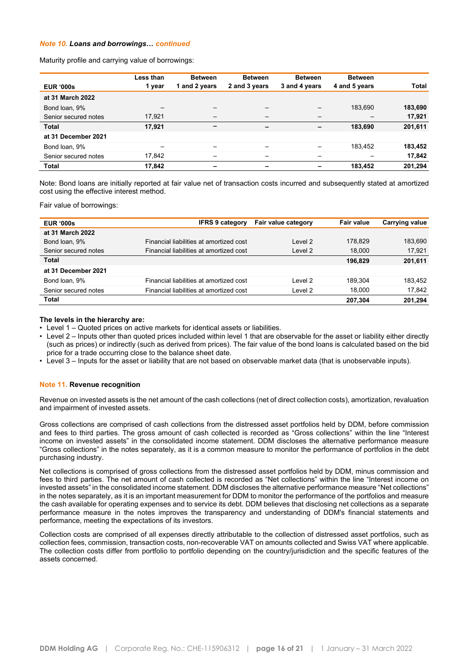#### *Note 10. Loans and borrowings… continued*

Maturity profile and carrying value of borrowings:

|                      | Less than<br>1 year | <b>Between</b><br>1 and 2 years | <b>Between</b><br>2 and 3 years | <b>Between</b><br>3 and 4 years | <b>Between</b><br>4 and 5 years | <b>Total</b> |
|----------------------|---------------------|---------------------------------|---------------------------------|---------------------------------|---------------------------------|--------------|
| <b>EUR '000s</b>     |                     |                                 |                                 |                                 |                                 |              |
| at 31 March 2022     |                     |                                 |                                 |                                 |                                 |              |
| Bond loan, 9%        |                     | -                               | -                               |                                 | 183,690                         | 183,690      |
| Senior secured notes | 17,921              | $\overline{\phantom{m}}$        | $\qquad \qquad$                 | $\qquad \qquad$                 | –                               | 17,921       |
| <b>Total</b>         | 17,921              | -                               | -                               | $\overline{\phantom{0}}$        | 183,690                         | 201,611      |
| at 31 December 2021  |                     |                                 |                                 |                                 |                                 |              |
| Bond loan, 9%        |                     |                                 | -                               |                                 | 183,452                         | 183,452      |
| Senior secured notes | 17,842              |                                 | -                               |                                 |                                 | 17,842       |
| Total                | 17,842              | -                               | -                               | -                               | 183,452                         | 201,294      |

Note: Bond loans are initially reported at fair value net of transaction costs incurred and subsequently stated at amortized cost using the effective interest method.

Fair value of borrowings:

| <b>EUR '000s</b>     | <b>IFRS 9 category</b>                  | Fair value category | Fair value | Carrying value |
|----------------------|-----------------------------------------|---------------------|------------|----------------|
| at 31 March 2022     |                                         |                     |            |                |
| Bond loan, 9%        | Financial liabilities at amortized cost | Level 2             | 178.829    | 183.690        |
| Senior secured notes | Financial liabilities at amortized cost | Level 2             | 18.000     | 17,921         |
| Total                |                                         |                     | 196.829    | 201,611        |
| at 31 December 2021  |                                         |                     |            |                |
| Bond loan, 9%        | Financial liabilities at amortized cost | Level 2             | 189.304    | 183.452        |
| Senior secured notes | Financial liabilities at amortized cost | Level 2             | 18.000     | 17,842         |
| Total                |                                         |                     | 207,304    | 201,294        |

#### **The levels in the hierarchy are:**

• Level 1 – Quoted prices on active markets for identical assets or liabilities.

- Level 2 Inputs other than quoted prices included within level 1 that are observable for the asset or liability either directly (such as prices) or indirectly (such as derived from prices). The fair value of the bond loans is calculated based on the bid price for a trade occurring close to the balance sheet date.
- Level 3 Inputs for the asset or liability that are not based on observable market data (that is unobservable inputs).

#### **Note 11. Revenue recognition**

Revenue on invested assets is the net amount of the cash collections (net of direct collection costs), amortization, revaluation and impairment of invested assets.

Gross collections are comprised of cash collections from the distressed asset portfolios held by DDM, before commission and fees to third parties. The gross amount of cash collected is recorded as "Gross collections" within the line "Interest income on invested assets" in the consolidated income statement. DDM discloses the alternative performance measure "Gross collections" in the notes separately, as it is a common measure to monitor the performance of portfolios in the debt purchasing industry.

Net collections is comprised of gross collections from the distressed asset portfolios held by DDM, minus commission and fees to third parties. The net amount of cash collected is recorded as "Net collections" within the line "Interest income on invested assets" in the consolidated income statement. DDM discloses the alternative performance measure "Net collections" in the notes separately, as it is an important measurement for DDM to monitor the performance of the portfolios and measure the cash available for operating expenses and to service its debt. DDM believes that disclosing net collections as a separate performance measure in the notes improves the transparency and understanding of DDM's financial statements and performance, meeting the expectations of its investors.

Collection costs are comprised of all expenses directly attributable to the collection of distressed asset portfolios, such as collection fees, commission, transaction costs, non-recoverable VAT on amounts collected and Swiss VAT where applicable. The collection costs differ from portfolio to portfolio depending on the country/jurisdiction and the specific features of the assets concerned.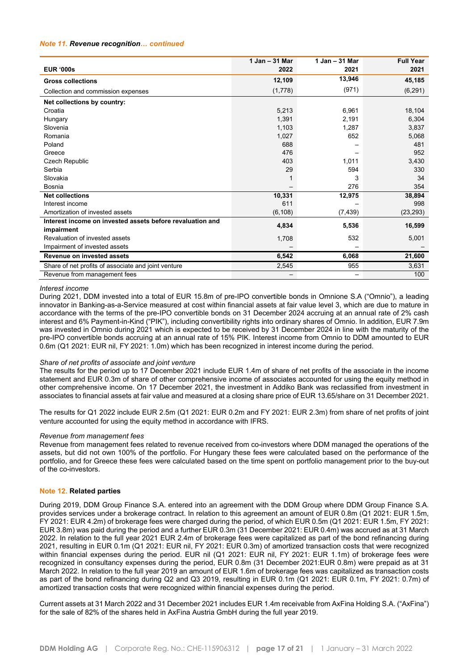#### *Note 11. Revenue recognition… continued*

|                                                           | 1 Jan - 31 Mar | 1 Jan - 31 Mar | <b>Full Year</b> |
|-----------------------------------------------------------|----------------|----------------|------------------|
| <b>EUR '000s</b>                                          | 2022           | 2021           | 2021             |
| <b>Gross collections</b>                                  | 12,109         | 13,946         | 45,185           |
| Collection and commission expenses                        | (1,778)        | (971)          | (6, 291)         |
| Net collections by country:                               |                |                |                  |
| Croatia                                                   | 5,213          | 6,961          | 18,104           |
| Hungary                                                   | 1,391          | 2,191          | 6,304            |
| Slovenia                                                  | 1,103          | 1,287          | 3,837            |
| Romania                                                   | 1,027          | 652            | 5,068            |
| Poland                                                    | 688            |                | 481              |
| Greece                                                    | 476            |                | 952              |
| Czech Republic                                            | 403            | 1,011          | 3,430            |
| Serbia                                                    | 29             | 594            | 330              |
| Slovakia                                                  |                | 3              | 34               |
| Bosnia                                                    |                | 276            | 354              |
| <b>Net collections</b>                                    | 10,331         | 12,975         | 38,894           |
| Interest income                                           | 611            |                | 998              |
| Amortization of invested assets                           | (6, 108)       | (7, 439)       | (23, 293)        |
| Interest income on invested assets before revaluation and | 4,834          | 5,536          | 16,599           |
| impairment                                                |                |                |                  |
| Revaluation of invested assets                            | 1,708          | 532            | 5,001            |
| Impairment of invested assets                             |                |                |                  |
| Revenue on invested assets                                | 6,542          | 6,068          | 21,600           |
| Share of net profits of associate and joint venture       | 2,545          | 955            | 3,631            |
| Revenue from management fees                              |                |                | 100              |

#### *Interest income*

During 2021, DDM invested into a total of EUR 15.8m of pre-IPO convertible bonds in Omnione S.A ("Omnio"), a leading innovator in Banking-as-a-Service measured at cost within financial assets at fair value level 3, which are due to mature in accordance with the terms of the pre-IPO convertible bonds on 31 December 2024 accruing at an annual rate of 2% cash interest and 6% Payment-in-Kind ("PIK"), including convertibility rights into ordinary shares of Omnio. In addition, EUR 7.9m was invested in Omnio during 2021 which is expected to be received by 31 December 2024 in line with the maturity of the pre-IPO convertible bonds accruing at an annual rate of 15% PIK. Interest income from Omnio to DDM amounted to EUR 0.6m (Q1 2021: EUR nil, FY 2021: 1.0m) which has been recognized in interest income during the period.

#### *Share of net profits of associate and joint venture*

The results for the period up to 17 December 2021 include EUR 1.4m of share of net profits of the associate in the income statement and EUR 0.3m of share of other comprehensive income of associates accounted for using the equity method in other comprehensive income. On 17 December 2021, the investment in Addiko Bank was reclassified from investment in associates to financial assets at fair value and measured at a closing share price of EUR 13.65/share on 31 December 2021.

The results for Q1 2022 include EUR 2.5m (Q1 2021: EUR 0.2m and FY 2021: EUR 2.3m) from share of net profits of joint venture accounted for using the equity method in accordance with IFRS.

#### *Revenue from management fees*

Revenue from management fees related to revenue received from co-investors where DDM managed the operations of the assets, but did not own 100% of the portfolio. For Hungary these fees were calculated based on the performance of the portfolio, and for Greece these fees were calculated based on the time spent on portfolio management prior to the buy-out of the co-investors.

#### **Note 12. Related parties**

During 2019, DDM Group Finance S.A. entered into an agreement with the DDM Group where DDM Group Finance S.A. provides services under a brokerage contract. In relation to this agreement an amount of EUR 0.8m (Q1 2021: EUR 1.5m, FY 2021: EUR 4.2m) of brokerage fees were charged during the period, of which EUR 0.5m (Q1 2021: EUR 1.5m, FY 2021: EUR 3.8m) was paid during the period and a further EUR 0.3m (31 December 2021: EUR 0.4m) was accrued as at 31 March 2022. In relation to the full year 2021 EUR 2.4m of brokerage fees were capitalized as part of the bond refinancing during 2021, resulting in EUR 0.1m (Q1 2021: EUR nil, FY 2021: EUR 0.3m) of amortized transaction costs that were recognized within financial expenses during the period. EUR nil (Q1 2021: EUR nil, FY 2021: EUR 1.1m) of brokerage fees were recognized in consultancy expenses during the period, EUR 0.8m (31 December 2021:EUR 0.8m) were prepaid as at 31 March 2022. In relation to the full year 2019 an amount of EUR 1.6m of brokerage fees was capitalized as transaction costs as part of the bond refinancing during Q2 and Q3 2019, resulting in EUR 0.1m (Q1 2021: EUR 0.1m, FY 2021: 0.7m) of amortized transaction costs that were recognized within financial expenses during the period.

Current assets at 31 March 2022 and 31 December 2021 includes EUR 1.4m receivable from AxFina Holding S.A. ("AxFina") for the sale of 82% of the shares held in AxFina Austria GmbH during the full year 2019.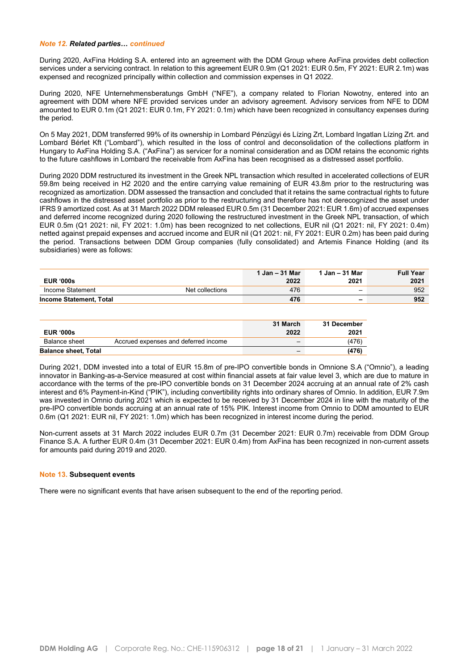#### *Note 12. Related parties… continued*

During 2020, AxFina Holding S.A. entered into an agreement with the DDM Group where AxFina provides debt collection services under a servicing contract. In relation to this agreement EUR 0.9m (Q1 2021: EUR 0.5m, FY 2021: EUR 2.1m) was expensed and recognized principally within collection and commission expenses in Q1 2022.

During 2020, NFE Unternehmensberatungs GmbH ("NFE"), a company related to Florian Nowotny, entered into an agreement with DDM where NFE provided services under an advisory agreement. Advisory services from NFE to DDM amounted to EUR 0.1m (Q1 2021: EUR 0.1m, FY 2021: 0.1m) which have been recognized in consultancy expenses during the period.

On 5 May 2021, DDM transferred 99% of its ownership in Lombard Pénzügyi és Lízing Zrt, Lombard Ingatlan Lízing Zrt. and Lombard Bérlet Kft ("Lombard"), which resulted in the loss of control and deconsolidation of the collections platform in Hungary to AxFina Holding S.A. ("AxFina") as servicer for a nominal consideration and as DDM retains the economic rights to the future cashflows in Lombard the receivable from AxFina has been recognised as a distressed asset portfolio.

During 2020 DDM restructured its investment in the Greek NPL transaction which resulted in accelerated collections of EUR 59.8m being received in H2 2020 and the entire carrying value remaining of EUR 43.8m prior to the restructuring was recognized as amortization. DDM assessed the transaction and concluded that it retains the same contractual rights to future cashflows in the distressed asset portfolio as prior to the restructuring and therefore has not derecognized the asset under IFRS 9 amortized cost. As at 31 March 2022 DDM released EUR 0.5m (31 December 2021: EUR 1.6m) of accrued expenses and deferred income recognized during 2020 following the restructured investment in the Greek NPL transaction, of which EUR 0.5m (Q1 2021: nil, FY 2021: 1.0m) has been recognized to net collections, EUR nil (Q1 2021: nil, FY 2021: 0.4m) netted against prepaid expenses and accrued income and EUR nil (Q1 2021: nil, FY 2021: EUR 0.2m) has been paid during the period. Transactions between DDM Group companies (fully consolidated) and Artemis Finance Holding (and its subsidiaries) were as follows:

|                                |                 | 1 Jan – 31 Mar | ∣ Jan – 31 Mar | <b>Full Year</b> |
|--------------------------------|-----------------|----------------|----------------|------------------|
| <b>EUR '000s</b>               |                 | 2022           | 2021           | 2021             |
| Income Statement               | Net collections | 476            |                | 952              |
| <b>Income Statement, Total</b> |                 | 476            | -              | 952              |

| <b>EUR '000s</b>            |                                      | 31 March<br>2022         | 31 December<br>2021 |
|-----------------------------|--------------------------------------|--------------------------|---------------------|
| Balance sheet               | Accrued expenses and deferred income | $\overline{\phantom{a}}$ | (476)               |
| <b>Balance sheet, Total</b> |                                      | $\overline{\phantom{a}}$ | (476)               |

During 2021, DDM invested into a total of EUR 15.8m of pre-IPO convertible bonds in Omnione S.A ("Omnio"), a leading innovator in Banking-as-a-Service measured at cost within financial assets at fair value level 3, which are due to mature in accordance with the terms of the pre-IPO convertible bonds on 31 December 2024 accruing at an annual rate of 2% cash interest and 6% Payment-in-Kind ("PIK"), including convertibility rights into ordinary shares of Omnio. In addition, EUR 7.9m was invested in Omnio during 2021 which is expected to be received by 31 December 2024 in line with the maturity of the pre-IPO convertible bonds accruing at an annual rate of 15% PIK. Interest income from Omnio to DDM amounted to EUR 0.6m (Q1 2021: EUR nil, FY 2021: 1.0m) which has been recognized in interest income during the period.

Non-current assets at 31 March 2022 includes EUR 0.7m (31 December 2021: EUR 0.7m) receivable from DDM Group Finance S.A. A further EUR 0.4m (31 December 2021: EUR 0.4m) from AxFina has been recognized in non-current assets for amounts paid during 2019 and 2020.

#### **Note 13. Subsequent events**

There were no significant events that have arisen subsequent to the end of the reporting period.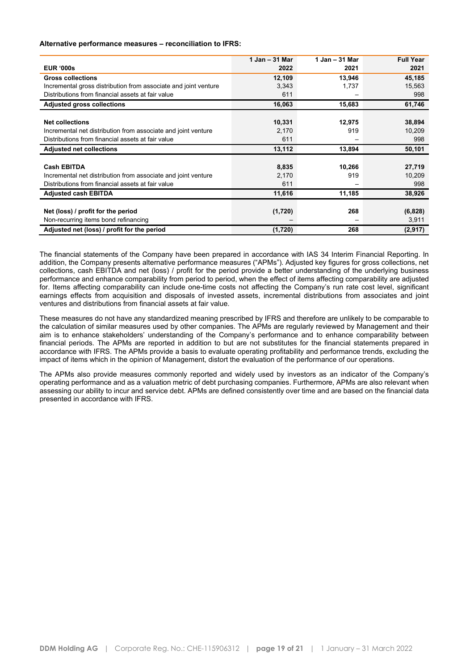#### **Alternative performance measures – reconciliation to IFRS:**

|                                                                 | 1 Jan - 31 Mar | $1$ Jan $-$ 31 Mar | <b>Full Year</b> |
|-----------------------------------------------------------------|----------------|--------------------|------------------|
| <b>EUR '000s</b>                                                | 2022           | 2021               | 2021             |
| <b>Gross collections</b>                                        | 12,109         | 13,946             | 45,185           |
| Incremental gross distribution from associate and joint venture | 3,343          | 1,737              | 15,563           |
| Distributions from financial assets at fair value               | 611            |                    | 998              |
| <b>Adjusted gross collections</b>                               | 16,063         | 15,683             | 61,746           |
|                                                                 |                |                    |                  |
| <b>Net collections</b>                                          | 10,331         | 12,975             | 38,894           |
| Incremental net distribution from associate and joint venture   | 2,170          | 919                | 10.209           |
| Distributions from financial assets at fair value               | 611            |                    | 998              |
| <b>Adjusted net collections</b>                                 | 13,112         | 13,894             | 50,101           |
|                                                                 |                |                    |                  |
| <b>Cash EBITDA</b>                                              | 8,835          | 10,266             | 27,719           |
| Incremental net distribution from associate and joint venture   | 2,170          | 919                | 10,209           |
| Distributions from financial assets at fair value               | 611            |                    | 998              |
| <b>Adjusted cash EBITDA</b>                                     | 11,616         | 11,185             | 38,926           |
|                                                                 |                |                    |                  |
| Net (loss) / profit for the period                              | (1,720)        | 268                | (6,828)          |
| Non-recurring items bond refinancing                            |                |                    | 3,911            |
| Adjusted net (loss) / profit for the period                     | (1,720)        | 268                | (2,917)          |

The financial statements of the Company have been prepared in accordance with IAS 34 Interim Financial Reporting. In addition, the Company presents alternative performance measures ("APMs"). Adjusted key figures for gross collections, net collections, cash EBITDA and net (loss) / profit for the period provide a better understanding of the underlying business performance and enhance comparability from period to period, when the effect of items affecting comparability are adjusted for. Items affecting comparability can include one-time costs not affecting the Company's run rate cost level, significant earnings effects from acquisition and disposals of invested assets, incremental distributions from associates and joint ventures and distributions from financial assets at fair value.

These measures do not have any standardized meaning prescribed by IFRS and therefore are unlikely to be comparable to the calculation of similar measures used by other companies. The APMs are regularly reviewed by Management and their aim is to enhance stakeholders' understanding of the Company's performance and to enhance comparability between financial periods. The APMs are reported in addition to but are not substitutes for the financial statements prepared in accordance with IFRS. The APMs provide a basis to evaluate operating profitability and performance trends, excluding the impact of items which in the opinion of Management, distort the evaluation of the performance of our operations.

The APMs also provide measures commonly reported and widely used by investors as an indicator of the Company's operating performance and as a valuation metric of debt purchasing companies. Furthermore, APMs are also relevant when assessing our ability to incur and service debt. APMs are defined consistently over time and are based on the financial data presented in accordance with IFRS.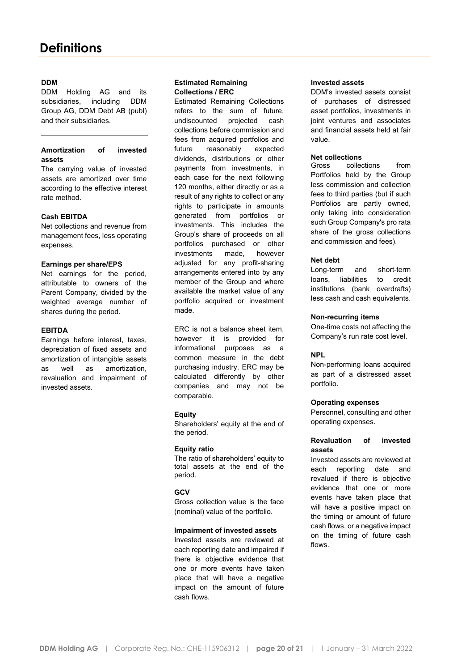### **DDM**

DDM Holding AG and its subsidiaries, including DDM Group AG, DDM Debt AB (publ) and their subsidiaries.

#### **Amortization of invested assets**

The carrying value of invested assets are amortized over time according to the effective interest rate method.

#### **Cash EBITDA**

Net collections and revenue from management fees, less operating expenses.

#### **Earnings per share/EPS**

Net earnings for the period, attributable to owners of the Parent Company, divided by the weighted average number of shares during the period.

#### **EBITDA**

Earnings before interest, taxes, depreciation of fixed assets and amortization of intangible assets as well as amortization, revaluation and impairment of invested assets.

#### **Estimated Remaining Collections / ERC**

Estimated Remaining Collections refers to the sum of future, undiscounted projected cash collections before commission and fees from acquired portfolios and future reasonably expected dividends, distributions or other payments from investments, in each case for the next following 120 months, either directly or as a result of any rights to collect or any rights to participate in amounts generated from portfolios or investments. This includes the Group's share of proceeds on all portfolios purchased or other investments made, however adjusted for any profit-sharing arrangements entered into by any member of the Group and where available the market value of any portfolio acquired or investment made.

ERC is not a balance sheet item, however it is provided for informational purposes as a common measure in the debt purchasing industry. ERC may be calculated differently by other companies and may not be comparable.

#### **Equity**

Shareholders' equity at the end of the period.

#### **Equity ratio**

The ratio of shareholders' equity to total assets at the end of the period.

#### **GCV**

Gross collection value is the face (nominal) value of the portfolio.

#### **Impairment of invested assets**

Invested assets are reviewed at each reporting date and impaired if there is objective evidence that one or more events have taken place that will have a negative impact on the amount of future cash flows.

#### **Invested assets**

DDM's invested assets consist of purchases of distressed asset portfolios, investments in joint ventures and associates and financial assets held at fair value.

# **Net collections**<br>Gross colled

collections from Portfolios held by the Group less commission and collection fees to third parties (but if such Portfolios are partly owned, only taking into consideration such Group Company's pro rata share of the gross collections and commission and fees).

#### **Net debt**

Long-term and short-term loans, liabilities to credit institutions (bank overdrafts) less cash and cash equivalents.

#### **Non-recurring items**

One-time costs not affecting the Company's run rate cost level.

#### **NPL**

Non-performing loans acquired as part of a distressed asset portfolio.

#### **Operating expenses**

Personnel, consulting and other operating expenses.

#### **Revaluation of invested assets**

Invested assets are reviewed at each reporting date and revalued if there is objective evidence that one or more events have taken place that will have a positive impact on the timing or amount of future cash flows, or a negative impact on the timing of future cash flows